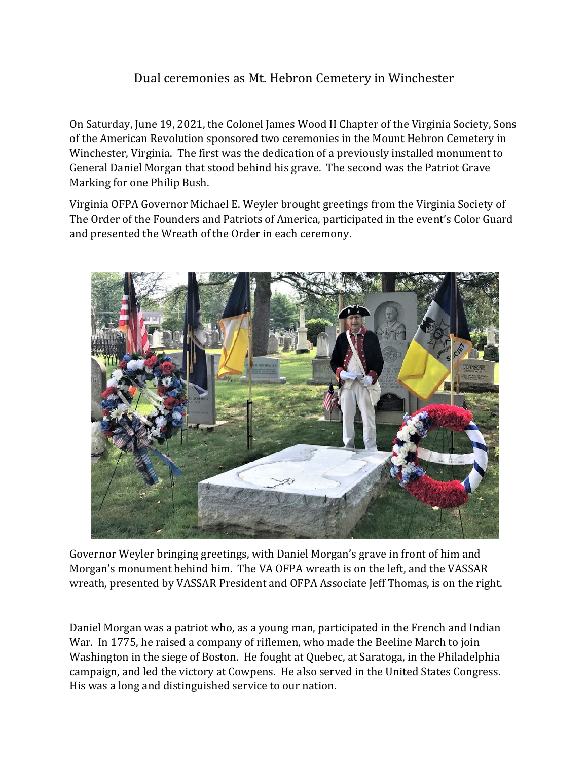## Dual ceremonies as Mt. Hebron Cemetery in Winchester

On Saturday, June 19, 2021, the Colonel James Wood II Chapter of the Virginia Society, Sons of the American Revolution sponsored two ceremonies in the Mount Hebron Cemetery in Winchester, Virginia. The first was the dedication of a previously installed monument to General Daniel Morgan that stood behind his grave. The second was the Patriot Grave Marking for one Philip Bush.

Virginia OFPA Governor Michael E. Weyler brought greetings from the Virginia Society of The Order of the Founders and Patriots of America, participated in the event's Color Guard and presented the Wreath of the Order in each ceremony.



Governor Weyler bringing greetings, with Daniel Morgan's grave in front of him and Morgan's monument behind him. The VA OFPA wreath is on the left, and the VASSAR wreath, presented by VASSAR President and OFPA Associate Jeff Thomas, is on the right.

Daniel Morgan was a patriot who, as a young man, participated in the French and Indian War. In 1775, he raised a company of riflemen, who made the Beeline March to join Washington in the siege of Boston. He fought at Quebec, at Saratoga, in the Philadelphia campaign, and led the victory at Cowpens. He also served in the United States Congress. His was a long and distinguished service to our nation.